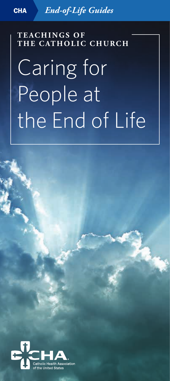CHA *End-of-Life Guides*

**T E AC H I N G S O F THE CATHOLIC CHURCH**

# Caring for People at the End of Life

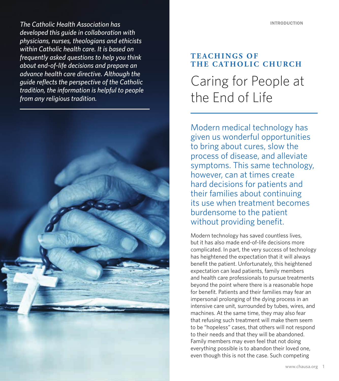CHA | *End-of-Life Guides: Church Teachings The Catholic Health Association has developed this guide in collaboration with physicians, nurses, theologians and ethicists within Catholic health care. It is based on frequently asked questions to help you think about end-of-life decisions and prepare an advance health care directive. Although the guide reflects the perspective of the Catholic tradition, the information is helpful to people from any religious tradition.*



### **T E AC H I N G S O F THE CATHOLIC CHURCH** Caring for People at the End of Life

Modern medical technology has given us wonderful opportunities to bring about cures, slow the process of disease, and alleviate symptoms. This same technology, however, can at times create hard decisions for patients and their families about continuing its use when treatment becomes burdensome to the patient without providing benefit.

Modern technology has saved countless lives, but it has also made end-of-life decisions more complicated. In part, the very success of technology has heightened the expectation that it will always benefit the patient. Unfortunately, this heightened expectation can lead patients, family members and health care professionals to pursue treatments beyond the point where there is a reasonable hope for benefit. Patients and their families may fear an impersonal prolonging of the dying process in an intensive care unit, surrounded by tubes, wires, and machines. At the same time, they may also fear that refusing such treatment will make them seem to be "hopeless" cases, that others will not respond to their needs and that they will be abandoned. Family members may even feel that not doing everything possible is to abandon their loved one, even though this is not the case. Such competing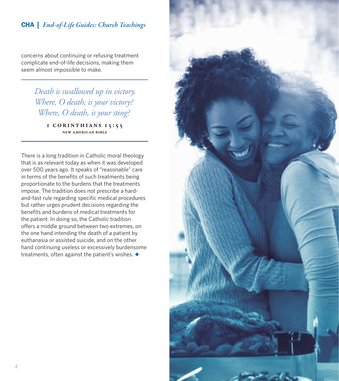concerns about continuing or refusing treatment complicate end-of-life decisions, making them seem almost impossible to make.

> *Death is swallowed up in victory. Where, O death, is your victory? Where, O death, is your sting?*

> > 1 Corinthians 15:55 New American Bible

There is a long tradition in Catholic moral theology that is as relevant today as when it was developed over 500 years ago. It speaks of "reasonable" care in terms of the benefits of such treatments being proportionate to the burdens that the treatments impose. The tradition does not prescribe a hardand-fast rule regarding specific medical procedures but rather urges prudent decisions regarding the benefits and burdens of medical treatments for the patient. In doing so, the Catholic tradition offers a middle ground between two extremes, on the one hand intending the death of a patient by euthanasia or assisted suicide, and on the other hand continuing useless or excessively burdensome treatments, often against the patient's wishes. *◆*

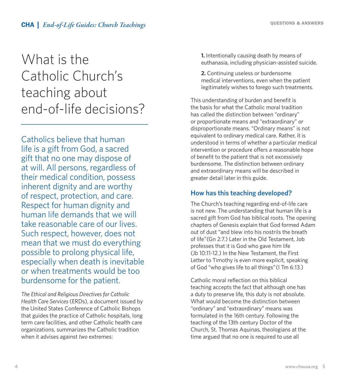## What is the Catholic Church's teaching about end-of-life decisions?

Catholics believe that human life is a gift from God, a sacred gift that no one may dispose of at will. All persons, regardless of their medical condition, possess inherent dignity and are worthy of respect, protection, and care. Respect for human dignity and human life demands that we will take reasonable care of our lives. Such respect, however, does not mean that we must do everything possible to prolong physical life, especially when death is inevitable or when treatments would be too burdensome for the patient.

*The Ethical and Religious Directives for Catholic Health Care Services* (ERDs), a document issued by the United States Conference of Catholic Bishops that guides the practice of Catholic hospitals, long term care facilities, and other Catholic health care organizations, summarizes the Catholic tradition when it advises against *two* extremes:

**1.** Intentionally causing death by means of euthanasia, including physician-assisted suicide.

**2.** Continuing useless or burdensome medical interventions, even when the patient legitimately wishes to forego such treatments.

This understanding of burden and benefit is the basis for what the Catholic moral tradition has called the distinction between "ordinary" or proportionate means and "extraordinary" or disproportionate means. "Ordinary means" is not equivalent to ordinary medical care. Rather, it is understood in terms of whether a particular medical intervention or procedure offers a reasonable hope of benefit to the patient that is not excessively burdensome. The distinction between ordinary and extraordinary means will be described in greater detail later in this guide.

#### **How has this teaching developed?**

The Church's teaching regarding end-of-life care is not new. The understanding that human life is a sacred gift from God has biblical roots. The opening chapters of Genesis explain that God formed Adam out of dust "and blew into his nostrils the breath of life"(Gn 2:7.) Later in the Old Testament, Job professes that it is God who gave him life (Jb 10:11-12.) In the New Testament, the First Letter to Timothy is even more explicit, speaking of God "who gives life to all things"(I Tm 6:13.)

Catholic moral reflection on this biblical teaching accepts the fact that although one has a duty to preserve life, this duty is not absolute. What would become the distinction between "ordinary" and "extraordinary" means was formulated in the 16th century. Following the teaching of the 13th century Doctor of the Church, St. Thomas Aquinas, theologians at the time argued that no one is required to use all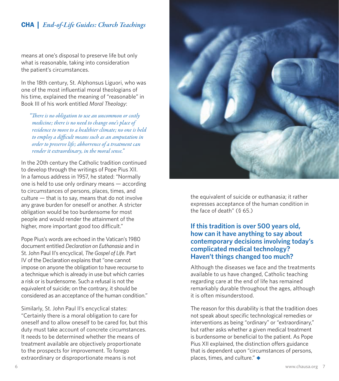means at one's disposal to preserve life but only what is reasonable, taking into consideration the patient's circumstances.

In the 18th century, St. Alphonsus Liguori, who was one of the most influential moral theologians of his time, explained the meaning of "reasonable" in Book III of his work entitled *Moral Theology*:

*"There is no obligation to use an uncommon or costly medicine; there is no need to change one's place of residence to move to a healthier climate; no one is held to employ a difficult means such as an amputation in order to preserve life; abhorrence of a treatment can render it extraordinary, in the moral sense."*

In the 20th century the Catholic tradition continued to develop through the writings of Pope Pius XII. In a famous address in 1957, he stated: "Normally one is held to use only ordinary means — according to circumstances of persons, places, times, and culture — that is to say, means that do not involve any grave burden for oneself or another. A stricter obligation would be too burdensome for most people and would render the attainment of the higher, more important good too difficult."

Pope Pius's words are echoed in the Vatican's 1980 document entitled *Declaration on Euthanasia* and in St. John Paul II's encyclical, *The Gospel of Life*. Part IV of the Declaration explains that "one cannot impose on anyone the obligation to have recourse to a technique which is already in use but which carries a risk or is burdensome. Such a refusal is not the equivalent of suicide; on the contrary, it should be considered as an acceptance of the human condition."

Similarly, St. John Paul II's encyclical states: "Certainly there is a moral obligation to care for oneself and to allow oneself to be cared for, but this duty must take account of concrete circumstances. It needs to be determined whether the means of treatment available are objectively proportionate to the prospects for improvement. To forego extraordinary or disproportionate means is not



the equivalent of suicide or euthanasia; it rather expresses acceptance of the human condition in the face of death" (§ 65.)

#### **If this tradition is over 500 years old, how can it have anything to say about contemporary decisions involving today's complicated medical technology? Haven't things changed too much?**

Although the diseases we face and the treatments available to us have changed, Catholic teaching regarding care at the end of life has remained remarkably durable throughout the ages, although it is often misunderstood.

The reason for this durability is that the tradition does not speak about specific technological remedies or interventions as being "ordinary" or "extraordinary," but rather asks whether a given medical treatment is burdensome or beneficial to the patient. As Pope Pius XII explained, the distinction offers guidance that is dependent upon "circumstances of persons, places, times, and culture." *◆*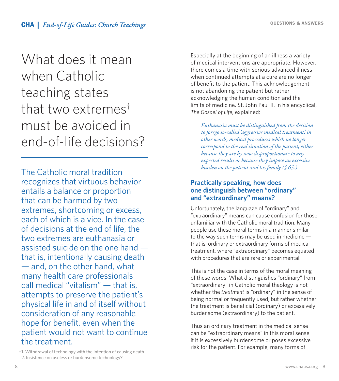### What does it mean when Catholic teaching states that two extremes† must be avoided in end-of-life decisions?

The Catholic moral tradition recognizes that virtuous behavior entails a balance or proportion that can be harmed by two extremes, shortcoming or excess, each of which is a vice. In the case of decisions at the end of life, the two extremes are euthanasia or assisted suicide on the one hand that is, intentionally causing death — and, on the other hand, what many health care professionals call medical "vitalism" — that is, attempts to preserve the patient's physical life in and of itself without consideration of any reasonable hope for benefit, even when the patient would not want to continue the treatment.

†1. Withdrawal of technology with the intention of causing death 2. Insistence on useless or burdensome technology?

Especially at the beginning of an illness a variety of medical interventions are appropriate. However, there comes a time with serious advanced illness when continued attempts at a cure are no longer of benefit to the patient. This acknowledgement is not abandoning the patient but rather acknowledging the human condition and the limits of medicine. St. John Paul II, in his encyclical, *The Gospel of Life*, explained:

*Euthanasia must be distinguished from the decision to forego so-called 'aggressive medical treatment,' in other words, medical procedures which no longer correspond to the real situation of the patient, either because they are by now disproportionate to any expected results or because they impose an excessive burden on the patient and his family (§ 65.)*

#### **Practically speaking, how does one distinguish between "ordinary" and "extraordinary" means?**

Unfortunately, the language of "ordinary" and "extraordinary" means can cause confusion for those unfamiliar with the Catholic moral tradition. Many people use these moral terms in a manner similar to the way such terms may be used in medicine  $$ that is, ordinary or extraordinary forms of medical treatment, where "extraordinary" becomes equated with procedures that are rare or experimental.

This is not the case in terms of the moral meaning of these words. What distinguishes "ordinary" from "extraordinary" in Catholic moral theology is not whether the *treatment* is "ordinary" in the sense of being normal or frequently used, but rather whether the treatment is beneficial (ordinary) or excessively burdensome (extraordinary) to the patient.

Thus an ordinary treatment in the medical sense can be "extraordinary means" in this moral sense if it is excessively burdensome or poses excessive risk for the patient. For example, many forms of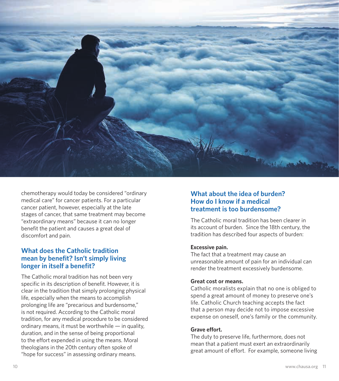

chemotherapy would today be considered "ordinary medical care" for cancer patients. For a particular cancer patient, however, especially at the late stages of cancer, that same treatment may become "extraordinary means" because it can no longer benefit the patient and causes a great deal of discomfort and pain.

#### **What does the Catholic tradition mean by benefit? Isn't simply living longer in itself a benefit?**

The Catholic moral tradition has not been very specific in its description of benefit. However, it is clear in the tradition that simply prolonging physical life, especially when the means to accomplish prolonging life are "precarious and burdensome," is not required. According to the Catholic moral tradition, for any medical procedure to be considered ordinary means, it must be worthwhile — in quality, duration, and in the sense of being proportional to the effort expended in using the means. Moral theologians in the 20th century often spoke of "hope for success" in assessing ordinary means.

#### **What about the idea of burden? How do I know if a medical treatment is too burdensome?**

The Catholic moral tradition has been clearer in its account of burden. Since the 18th century, the tradition has described four aspects of burden:

#### **Excessive pain.**

The fact that a treatment may cause an unreasonable amount of pain for an individual can render the treatment excessively burdensome.

#### **Great cost or means.**

Catholic moralists explain that no one is obliged to spend a great amount of money to preserve one's life. Catholic Church teaching accepts the fact that a person may decide not to impose excessive expense on oneself, one's family or the community.

#### **Grave effort.**

The duty to preserve life, furthermore, does not mean that a patient must exert an extraordinarily great amount of effort. For example, someone living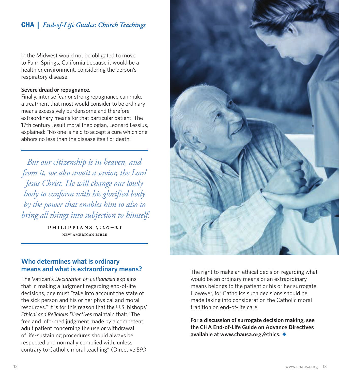in the Midwest would not be obligated to move to Palm Springs, California because it would be a healthier environment, considering the person's respiratory disease.

#### **Severe dread or repugnance.**

Finally, intense fear or strong repugnance can make a treatment that most would consider to be ordinary means excessively burdensome and therefore extraordinary means for that particular patient. The 17th century Jesuit moral theologian, Leonard Lessius, explained: "No one is held to accept a cure which one abhors no less than the disease itself or death."

*But our citizenship is in heaven, and from it, we also await a savior, the Lord Jesus Christ. He will change our lowly body to conform with his glorified body by the power that enables him to also to bring all things into subjection to himself.*

> Philippians 3:20–21 New American Bible

#### **Who determines what is ordinary means and what is extraordinary means?**

The Vatican's *Declaration on Euthanasia* explains that in making a judgment regarding end-of-life decisions, one must "take into account the state of the sick person and his or her physical and moral resources." It is for this reason that the U.S. bishops' *Ethical and Religious Directives* maintain that: "The free and informed judgment made by a competent adult patient concerning the use or withdrawal of life-sustaining procedures should always be respected and normally complied with, unless contrary to Catholic moral teaching" (Directive 59.)



The right to make an ethical decision regarding what would be an ordinary means or an extraordinary means belongs to the patient or his or her surrogate. However, for Catholics such decisions should be made taking into consideration the Catholic moral tradition on end-of-life care.

**For a discussion of surrogate decision making, see the CHA End-of-Life Guide on Advance Directives available at www.chausa.org/ethics.***◆*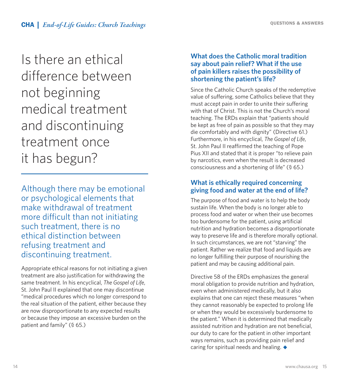Is there an ethical difference between not beginning medical treatment and discontinuing treatment once it has begun?

Although there may be emotional or psychological elements that make withdrawal of treatment more difficult than not initiating such treatment, there is no ethical distinction between refusing treatment and discontinuing treatment.

Appropriate ethical reasons for not initiating a given treatment are also justification for withdrawing the same treatment. In his encyclical, *The Gospel of Life*, St. John Paul II explained that one may discontinue "medical procedures which no longer correspond to the real situation of the patient, either because they are now disproportionate to any expected results or because they impose an excessive burden on the patient and family" (§ 65.)

#### **What does the Catholic moral tradition say about pain relief? What if the use of pain killers raises the possibility of shortening the patient's life?**

Since the Catholic Church speaks of the redemptive value of suffering, some Catholics believe that they must accept pain in order to unite their suffering with that of Christ. This is not the Church's moral teaching. The ERDs explain that "patients should be kept as free of pain as possible so that they may die comfortably and with dignity" (Directive 61.) Furthermore, in his encyclical, *The Gospel of Life*, St. John Paul II reaffirmed the teaching of Pope Pius XII and stated that it is proper "to relieve pain by narcotics, even when the result is decreased consciousness and a shortening of life" (§ 65.)

#### **What is ethically required concerning giving food and water at the end of life?**

The purpose of food and water is to help the body sustain life. When the body is no longer able to process food and water or when their use becomes too burdensome for the patient, using artificial nutrition and hydration becomes a disproportionate way to preserve life and is therefore morally optional. In such circumstances, we are not "starving" the patient. Rather we realize that food and liquids are no longer fulfilling their purpose of nourishing the patient and may be causing additional pain.

Directive 58 of the ERDs emphasizes the general moral obligation to provide nutrition and hydration, even when administered medically, but it also explains that one can reject these measures "when they cannot reasonably be expected to prolong life or when they would be excessively burdensome to the patient." When it is determined that medically assisted nutrition and hydration are not beneficial, our duty to care for the patient in other important ways remains, such as providing pain relief and caring for spiritual needs and healing. *◆*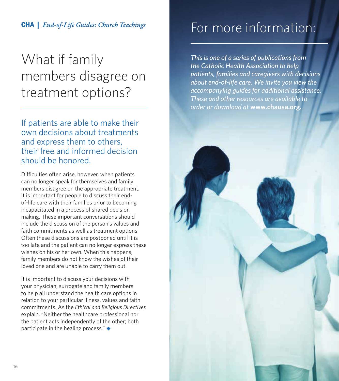### What if family members disagree on treatment options?

If patients are able to make their own decisions about treatments and express them to others, their free and informed decision should be honored.

Difficulties often arise, however, when patients can no longer speak for themselves and family members disagree on the appropriate treatment. It is important for people to discuss their endof-life care with their families prior to becoming incapacitated in a process of shared decision making. These important conversations should include the discussion of the person's values and faith commitments as well as treatment options. Often these discussions are postponed until it is too late and the patient can no longer express these wishes on his or her own. When this happens, family members do not know the wishes of their loved one and are unable to carry them out.

It is important to discuss your decisions with your physician, surrogate and family members to help all understand the health care options in relation to your particular illness, values and faith commitments. As the *Ethical and Religious Directives* explain, "Neither the healthcare professional nor the patient acts independently of the other; both participate in the healing process." *◆*

### For more information:

*This is one of a series of publications from the Catholic Health Association to help patients, families and caregivers with decisions about end-of-life care. We invite you view the accompanying guides for additional assistance. These and other resources are available to order or download at* **www.chausa.org.**